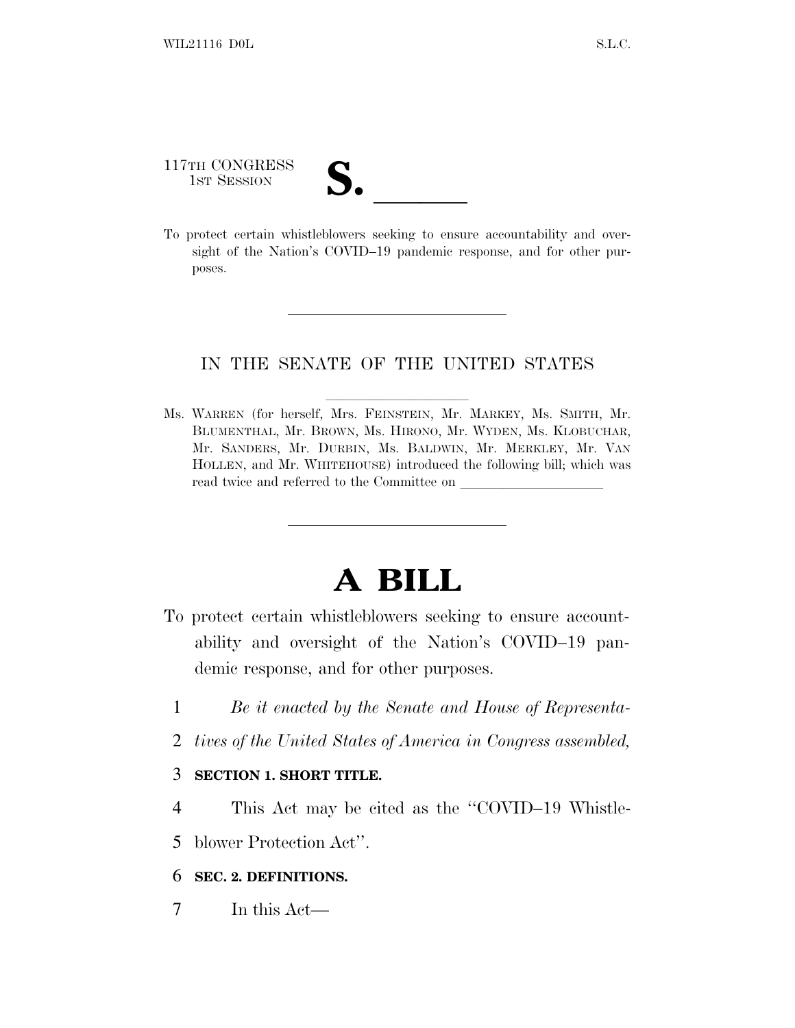117TH CONGRESS

117TH CONGRESS<br>
1ST SESSION<br>
To protect certain whistleblowers seeking to ensure accountability and oversight of the Nation's COVID–19 pandemic response, and for other purposes.

## IN THE SENATE OF THE UNITED STATES

Ms. WARREN (for herself, Mrs. FEINSTEIN, Mr. MARKEY, Ms. SMITH, Mr. BLUMENTHAL, Mr. BROWN, Ms. HIRONO, Mr. WYDEN, Ms. KLOBUCHAR, Mr. SANDERS, Mr. DURBIN, Ms. BALDWIN, Mr. MERKLEY, Mr. VAN HOLLEN, and Mr. WHITEHOUSE) introduced the following bill; which was read twice and referred to the Committee on

## **A BILL**

- To protect certain whistleblowers seeking to ensure accountability and oversight of the Nation's COVID–19 pandemic response, and for other purposes.
	- 1 *Be it enacted by the Senate and House of Representa-*
	- 2 *tives of the United States of America in Congress assembled,*

## 3 **SECTION 1. SHORT TITLE.**

4 This Act may be cited as the ''COVID–19 Whistle-

5 blower Protection Act''.

## 6 **SEC. 2. DEFINITIONS.**

7 In this Act—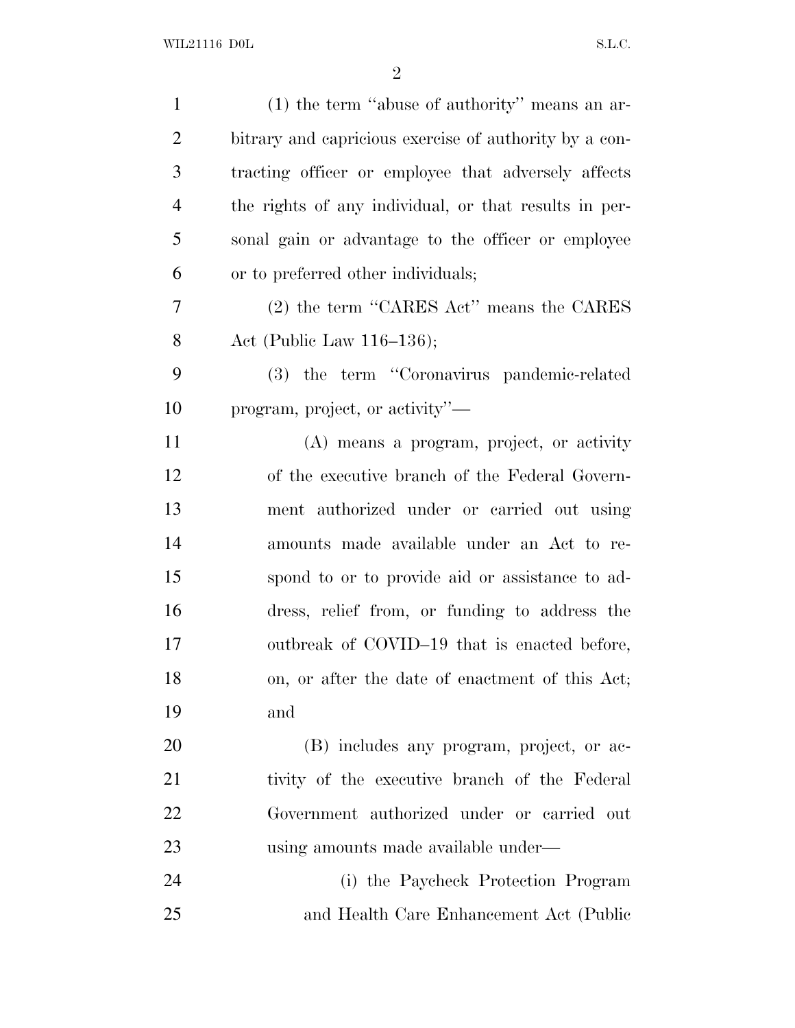| $\mathbf{1}$   | $(1)$ the term "abuse of authority" means an ar-       |
|----------------|--------------------------------------------------------|
| $\overline{2}$ | bitrary and capricious exercise of authority by a con- |
| 3              | tracting officer or employee that adversely affects    |
| $\overline{4}$ | the rights of any individual, or that results in per-  |
| 5              | sonal gain or advantage to the officer or employee     |
| 6              | or to preferred other individuals;                     |
| 7              | (2) the term "CARES Act" means the CARES               |
| 8              | Act (Public Law $116-136$ );                           |
| 9              | (3) the term "Coronavirus pandemic-related             |
| 10             | program, project, or activity"—                        |
| 11             | (A) means a program, project, or activity              |
| 12             | of the executive branch of the Federal Govern-         |
| 13             | ment authorized under or carried out using             |
| 14             | amounts made available under an Act to re-             |
| 15             | spond to or to provide aid or assistance to ad-        |
| 16             | dress, relief from, or funding to address the          |
| 17             | outbreak of COVID-19 that is enacted before,           |
| 18             | on, or after the date of enactment of this Act;        |
| 19             | and                                                    |
| 20             | (B) includes any program, project, or ac-              |
| 21             | tivity of the executive branch of the Federal          |
| 22             | Government authorized under or carried out             |
| 23             | using amounts made available under—                    |
| 24             | (i) the Paycheck Protection Program                    |
| 25             | and Health Care Enhancement Act (Public                |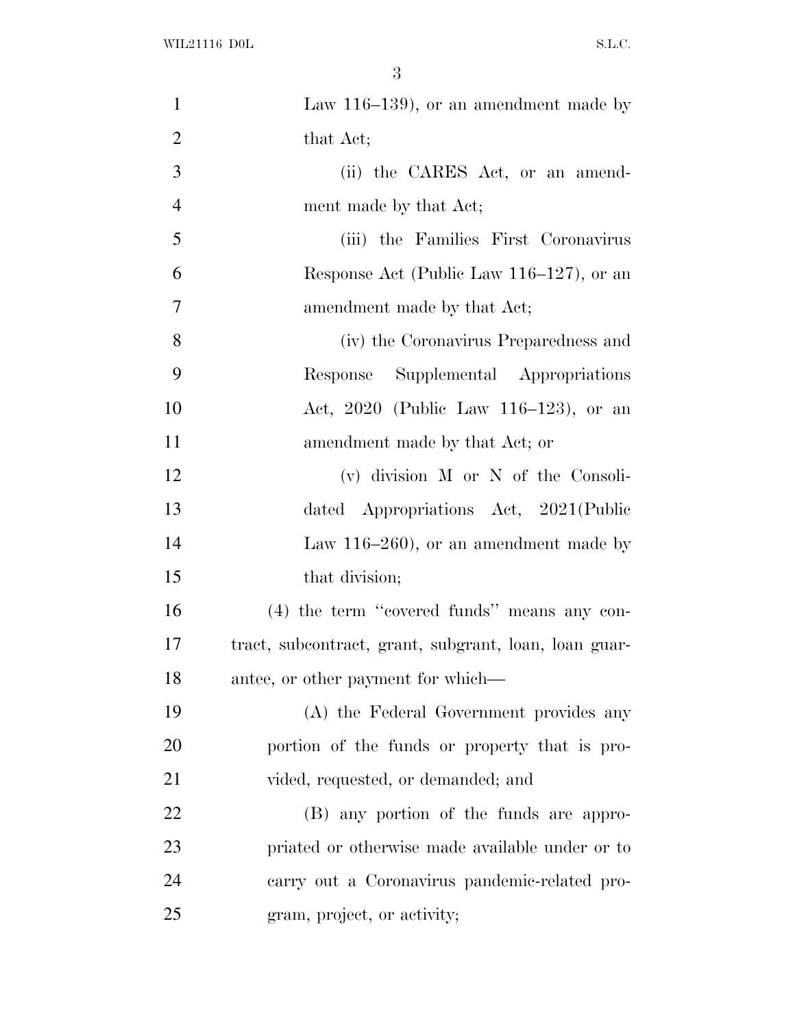| $\mathbf{1}$   | Law $116-139$ , or an amendment made by               |
|----------------|-------------------------------------------------------|
| $\overline{2}$ | that Act;                                             |
| 3              | (ii) the CARES Act, or an amend-                      |
| $\overline{4}$ | ment made by that Act;                                |
| 5              | (iii) the Families First Coronavirus                  |
| 6              | Response Act (Public Law 116–127), or an              |
| $\overline{7}$ | amendment made by that Act;                           |
| 8              | (iv) the Coronavirus Preparedness and                 |
| 9              | Response Supplemental Appropriations                  |
| 10             | Act, 2020 (Public Law 116–123), or an                 |
| 11             | amendment made by that Act; or                        |
| 12             | $(v)$ division M or N of the Consoli-                 |
| 13             | dated Appropriations Act, 2021(Public                 |
| 14             | Law $116-260$ , or an amendment made by               |
| 15             | that division;                                        |
| 16             | $(4)$ the term "covered funds" means any con-         |
| 17             | tract, subcontract, grant, subgrant, loan, loan guar- |
| 18             | antee, or other payment for which—                    |
| 19             | (A) the Federal Government provides any               |
| 20             | portion of the funds or property that is pro-         |
| 21             | vided, requested, or demanded; and                    |
| 22             | (B) any portion of the funds are appro-               |
| 23             | priated or otherwise made available under or to       |
| 24             | carry out a Coronavirus pandemic-related pro-         |
| 25             | gram, project, or activity;                           |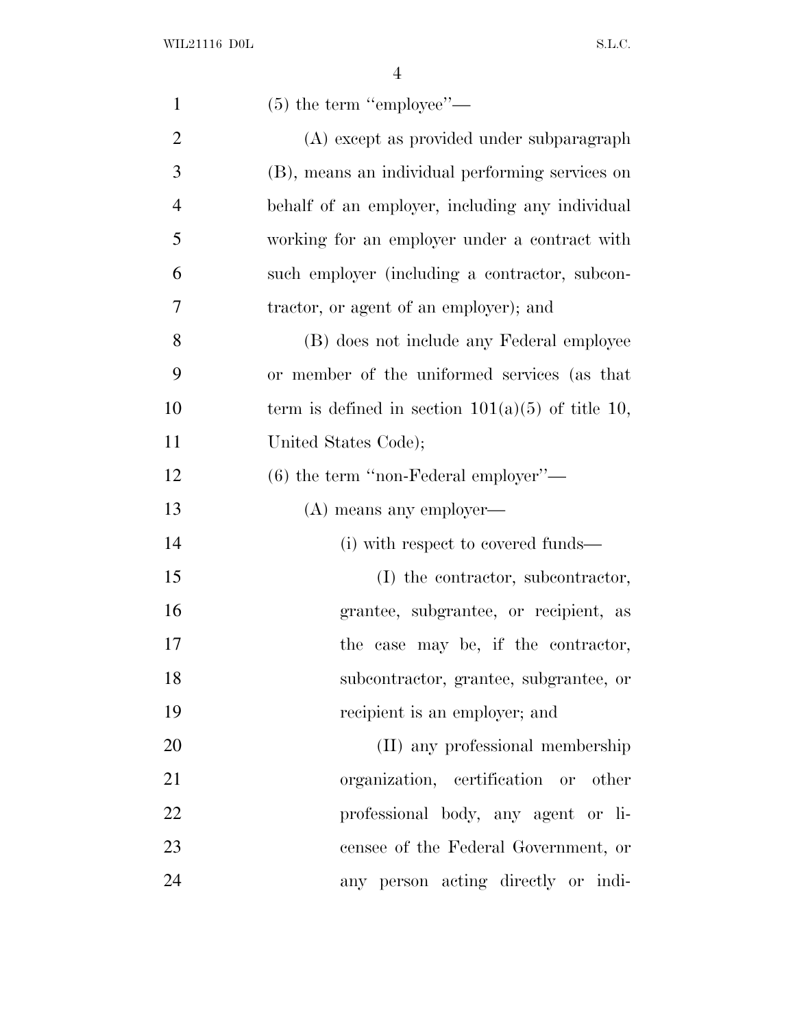| $\mathbf{1}$   | $(5)$ the term "employee"—                          |
|----------------|-----------------------------------------------------|
| $\overline{2}$ | (A) except as provided under subparagraph           |
| 3              | (B), means an individual performing services on     |
| $\overline{4}$ | behalf of an employer, including any individual     |
| 5              | working for an employer under a contract with       |
| 6              | such employer (including a contractor, subcon-      |
| 7              | tractor, or agent of an employer); and              |
| 8              | (B) does not include any Federal employee           |
| 9              | or member of the uniformed services (as that        |
| 10             | term is defined in section $101(a)(5)$ of title 10, |
| 11             | United States Code);                                |
| 12             | $(6)$ the term "non-Federal employer"—              |
|                |                                                     |
| 13             | (A) means any employer—                             |
| 14             | (i) with respect to covered funds—                  |
| 15             | (I) the contractor, subcontractor,                  |
| 16             | grantee, subgrantee, or recipient, as               |
| 17             | the case may be, if the contractor,                 |
| 18             | subcontractor, grantee, subgrantee, or              |
| 19             | recipient is an employer; and                       |
| 20             | (II) any professional membership                    |
| 21             | organization, certification or other                |
| 22             | professional body, any agent or li-                 |
| 23             | censee of the Federal Government, or                |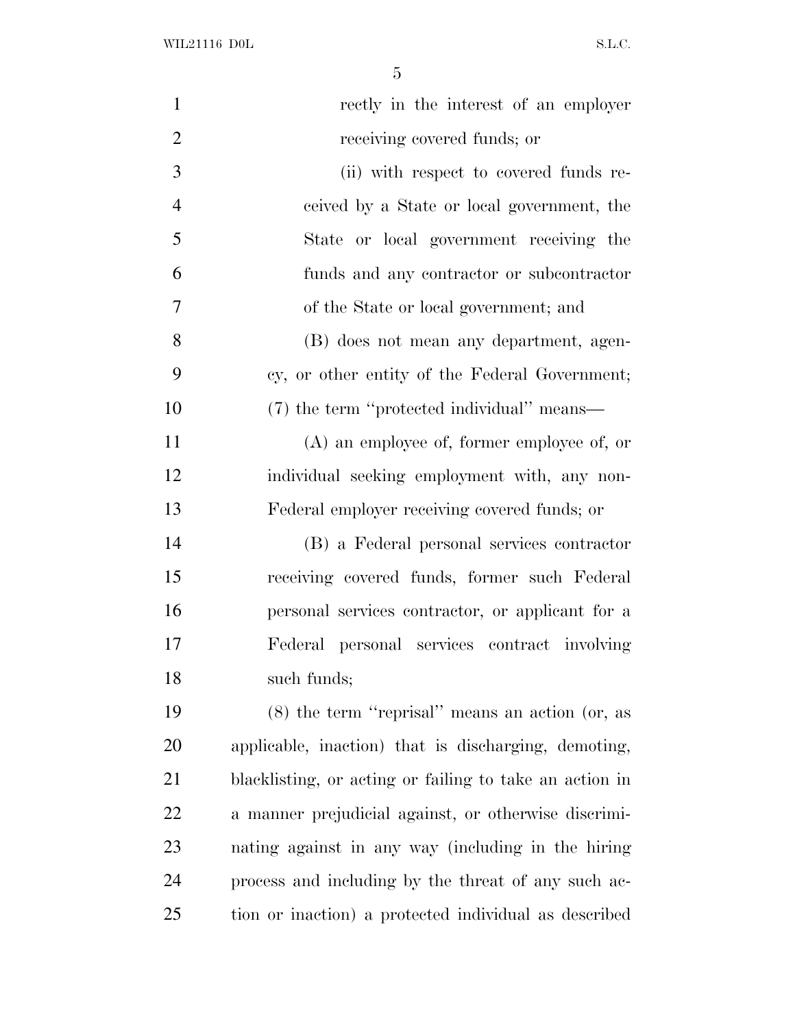| $\mathbf{1}$   | rectly in the interest of an employer                   |
|----------------|---------------------------------------------------------|
| $\overline{2}$ | receiving covered funds; or                             |
| 3              | (ii) with respect to covered funds re-                  |
| $\overline{4}$ | ceived by a State or local government, the              |
| 5              | State or local government receiving the                 |
| 6              | funds and any contractor or subcontractor               |
| 7              | of the State or local government; and                   |
| 8              | (B) does not mean any department, agen-                 |
| 9              | cy, or other entity of the Federal Government;          |
| 10             | (7) the term "protected individual" means—              |
| 11             | $(A)$ an employee of, former employee of, or            |
| 12             | individual seeking employment with, any non-            |
| 13             | Federal employer receiving covered funds; or            |
| 14             | (B) a Federal personal services contractor              |
| 15             | receiving covered funds, former such Federal            |
| 16             | personal services contractor, or applicant for a        |
| 17             | Federal personal services contract involving            |
| 18             | such funds;                                             |
| 19             | $(8)$ the term "reprisal" means an action (or, as       |
| 20             | applicable, inaction) that is discharging, demoting,    |
| 21             | blacklisting, or acting or failing to take an action in |
| 22             | a manner prejudicial against, or otherwise discrimi-    |
| 23             | nating against in any way (including in the hiring      |
| 24             | process and including by the threat of any such ac-     |
| 25             | tion or inaction) a protected individual as described   |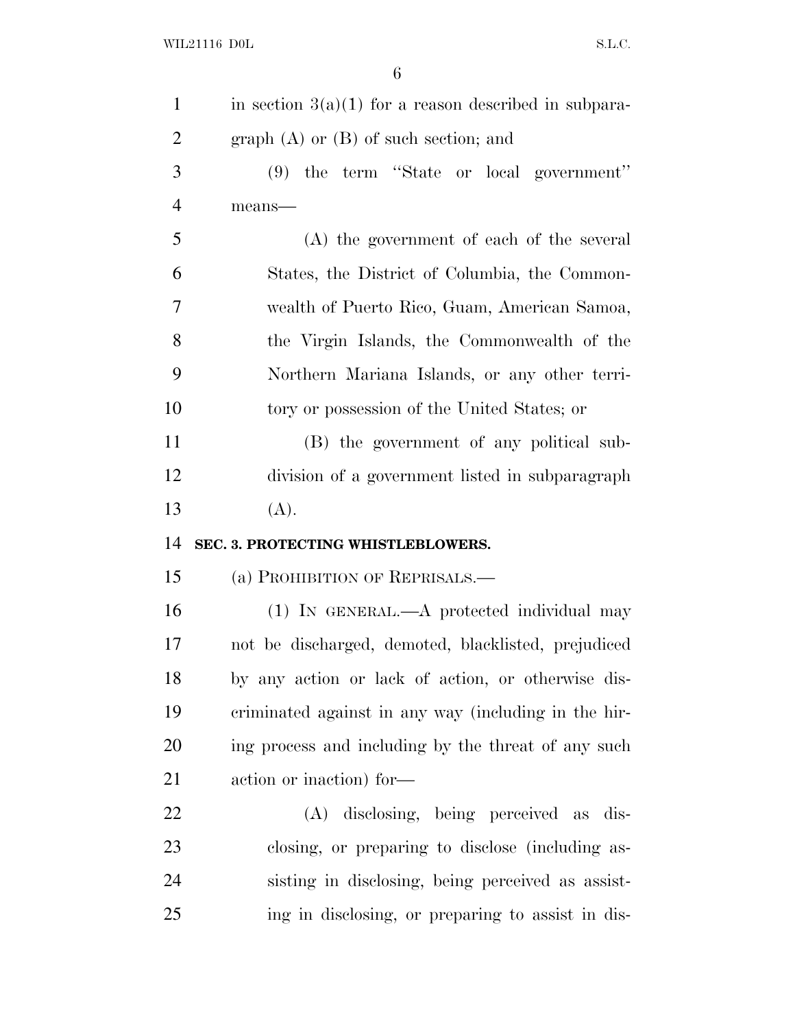| $\mathbf{1}$   | in section $3(a)(1)$ for a reason described in subpara- |
|----------------|---------------------------------------------------------|
| $\overline{2}$ | graph $(A)$ or $(B)$ of such section; and               |
| 3              | $(9)$ the term "State or local government"              |
| $\overline{4}$ | means-                                                  |
| 5              | (A) the government of each of the several               |
| 6              | States, the District of Columbia, the Common-           |
| $\overline{7}$ | wealth of Puerto Rico, Guam, American Samoa,            |
| 8              | the Virgin Islands, the Commonwealth of the             |
| 9              | Northern Mariana Islands, or any other terri-           |
| 10             | tory or possession of the United States; or             |
| 11             | (B) the government of any political sub-                |
| 12             | division of a government listed in subparagraph         |
|                |                                                         |
| 13             | (A).                                                    |
| 14             | SEC. 3. PROTECTING WHISTLEBLOWERS.                      |
| 15             | (a) PROHIBITION OF REPRISALS.—                          |
| 16             | $(1)$ IN GENERAL.—A protected individual may            |
| 17             | not be discharged, demoted, blacklisted, prejudiced     |
| 18             | by any action or lack of action, or otherwise dis-      |
| 19             | criminated against in any way (including in the hir-    |
| 20             | ing process and including by the threat of any such     |
| 21             | action or inaction) for-                                |
| 22             | (A) disclosing, being perceived as dis-                 |
| 23             | closing, or preparing to disclose (including as-        |
| 24             | sisting in disclosing, being perceived as assist-       |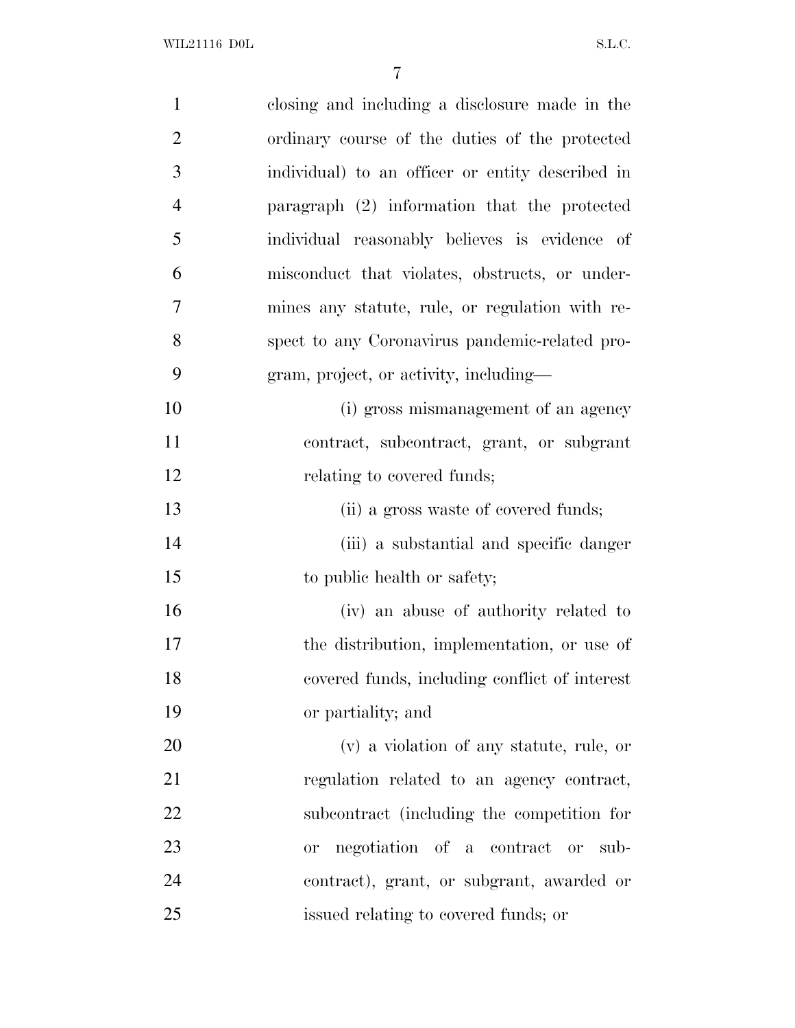| $\mathbf{1}$   | closing and including a disclosure made in the    |
|----------------|---------------------------------------------------|
| $\overline{2}$ | ordinary course of the duties of the protected    |
| 3              | individual) to an officer or entity described in  |
| $\overline{4}$ | paragraph (2) information that the protected      |
| 5              | individual reasonably believes is evidence of     |
| 6              | misconduct that violates, obstructs, or under-    |
| 7              | mines any statute, rule, or regulation with re-   |
| 8              | spect to any Coronavirus pandemic-related pro-    |
| 9              | gram, project, or activity, including—            |
| 10             | (i) gross mismanagement of an agency              |
| 11             | contract, subcontract, grant, or subgrant         |
| 12             | relating to covered funds;                        |
| 13             | (ii) a gross waste of covered funds;              |
| 14             | (iii) a substantial and specific danger           |
| 15             | to public health or safety;                       |
| 16             | (iv) an abuse of authority related to             |
| 17             | the distribution, implementation, or use of       |
| 18             | covered funds, including conflict of interest     |
| 19             | or partiality; and                                |
| 20             | (v) a violation of any statute, rule, or          |
| 21             | regulation related to an agency contract,         |
| 22             | subcontract (including the competition for        |
| 23             | negotiation of a contract or<br>sub-<br><b>or</b> |
| 24             | contract), grant, or subgrant, awarded or         |
| 25             | issued relating to covered funds; or              |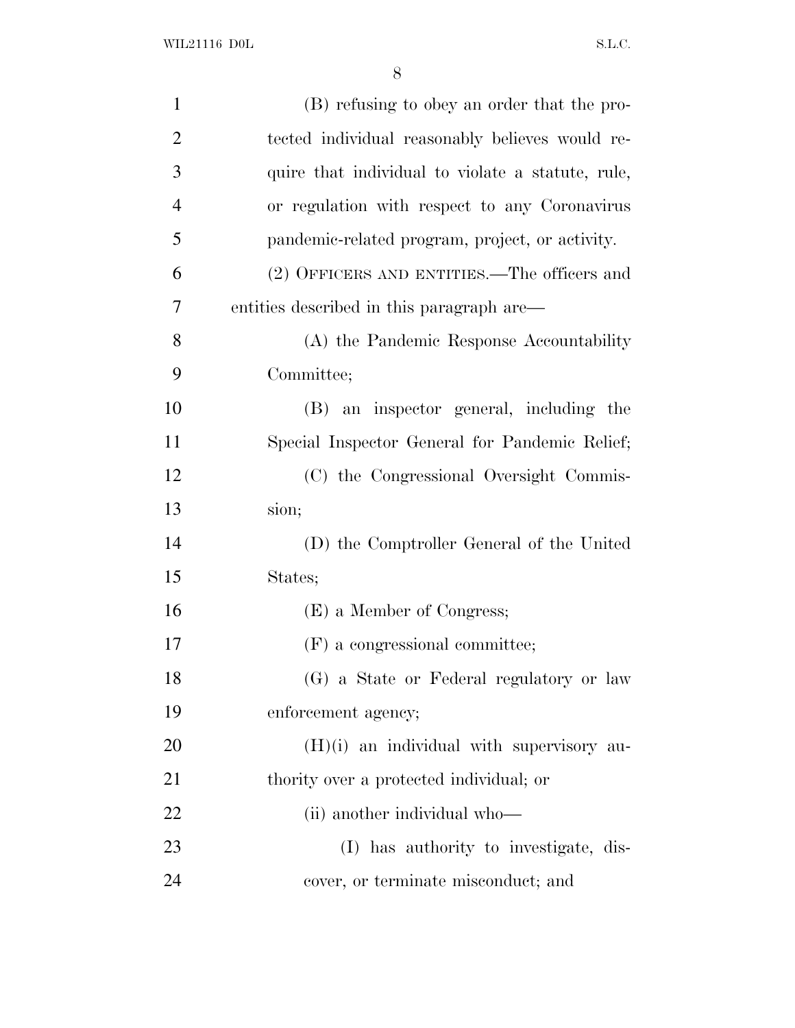| $\mathbf{1}$   | (B) refusing to obey an order that the pro-       |
|----------------|---------------------------------------------------|
| $\overline{2}$ | tected individual reasonably believes would re-   |
| 3              | quire that individual to violate a statute, rule, |
| $\overline{4}$ | or regulation with respect to any Coronavirus     |
| 5              | pandemic-related program, project, or activity.   |
| 6              | (2) OFFICERS AND ENTITIES.—The officers and       |
| 7              | entities described in this paragraph are—         |
| 8              | (A) the Pandemic Response Accountability          |
| 9              | Committee;                                        |
| 10             | (B) an inspector general, including the           |
| 11             | Special Inspector General for Pandemic Relief;    |
| 12             | (C) the Congressional Oversight Commis-           |
| 13             | sion;                                             |
| 14             | (D) the Comptroller General of the United         |
| 15             | States;                                           |
| 16             | (E) a Member of Congress;                         |
| 17             | (F) a congressional committee;                    |
| 18             | (G) a State or Federal regulatory or law          |
| 19             | enforcement agency;                               |
| 20             | $(H)(i)$ an individual with supervisory au-       |
| 21             | thority over a protected individual; or           |
| 22             | (ii) another individual who—                      |
| 23             | (I) has authority to investigate, dis-            |
| 24             | cover, or terminate misconduct; and               |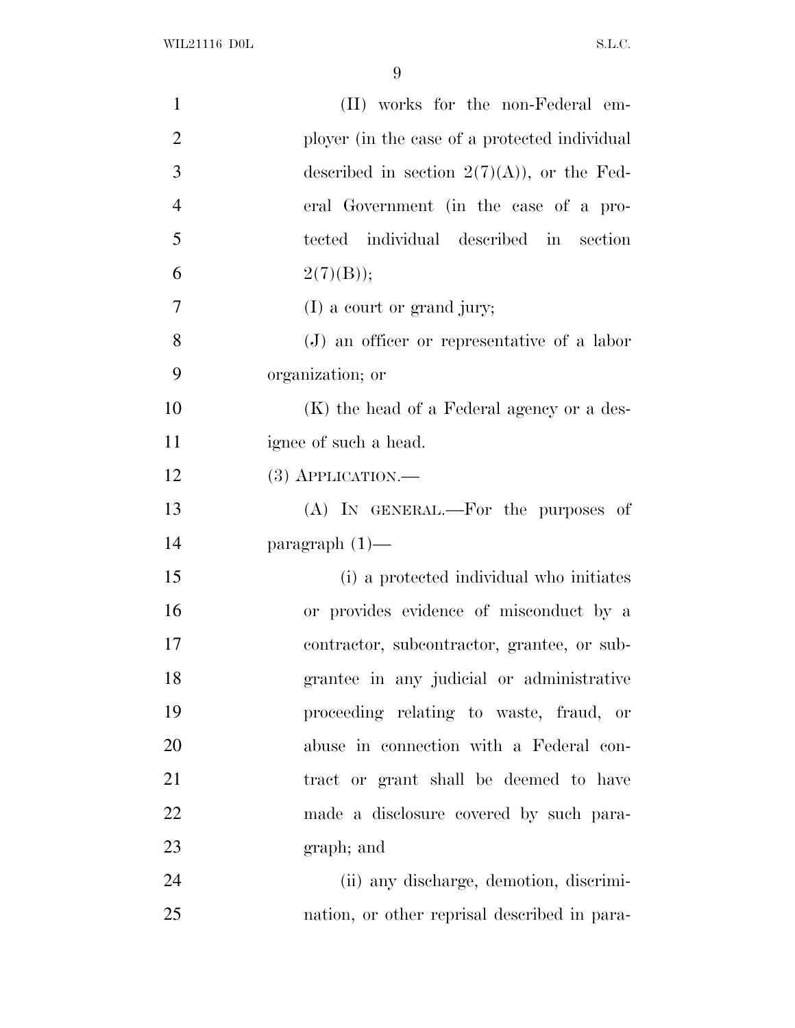| $\mathbf{1}$   | (II) works for the non-Federal em-            |
|----------------|-----------------------------------------------|
| $\overline{2}$ | ployer (in the case of a protected individual |
| 3              | described in section $2(7)(A)$ , or the Fed-  |
| $\overline{4}$ | eral Government (in the case of a pro-        |
| 5              | tected individual described in section        |
| 6              | 2(7)(B));                                     |
| $\overline{7}$ | $(I)$ a court or grand jury;                  |
| 8              | $(J)$ an officer or representative of a labor |
| 9              | organization; or                              |
| 10             | (K) the head of a Federal agency or a des-    |
| 11             | ignee of such a head.                         |
| 12             | $(3)$ APPLICATION.—                           |
| 13             | (A) IN GENERAL.—For the purposes of           |
| 14             | paragraph $(1)$ —                             |
| 15             | (i) a protected individual who initiates      |
| 16             | or provides evidence of misconduct by a       |
| 17             | contractor, subcontractor, grantee, or sub-   |
| 18             | grantee in any judicial or administrative     |
| 19             | proceeding relating to waste, fraud, or       |
| 20             | abuse in connection with a Federal con-       |
| 21             | tract or grant shall be deemed to have        |
| 22             | made a disclosure covered by such para-       |
| 23             | graph; and                                    |
| 24             | (ii) any discharge, demotion, discrimi-       |
| 25             | nation, or other reprisal described in para-  |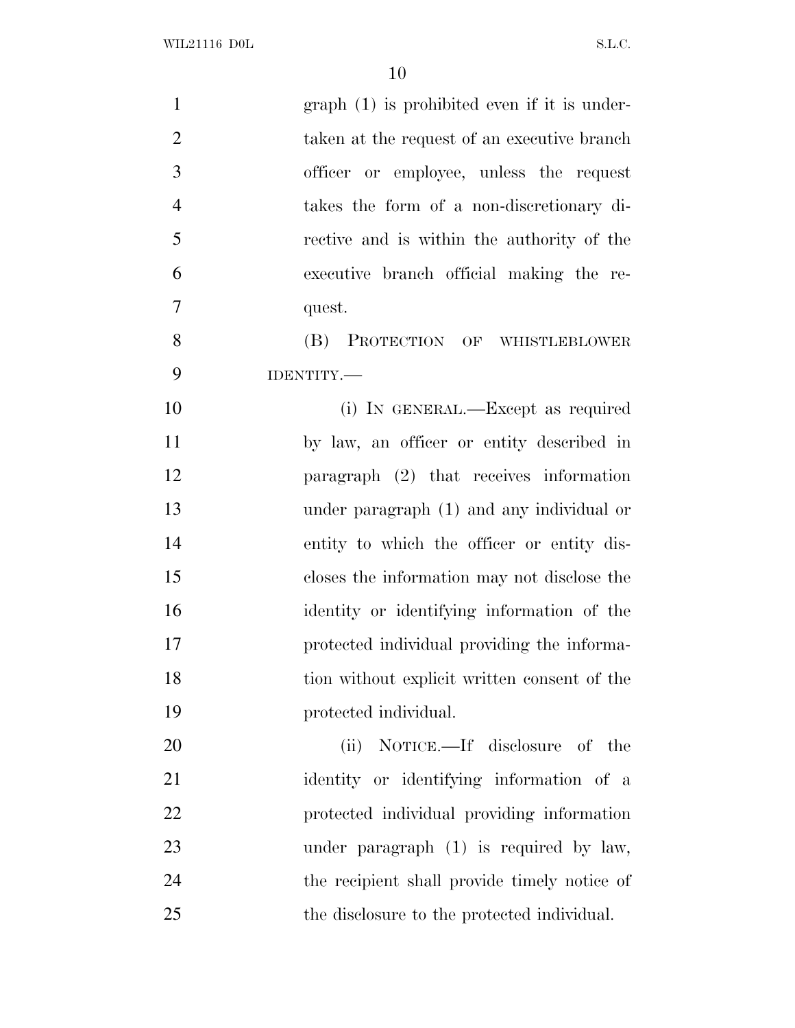| $\mathbf{1}$   | $graph(1)$ is prohibited even if it is under- |
|----------------|-----------------------------------------------|
| $\overline{2}$ | taken at the request of an executive branch   |
| 3              | officer or employee, unless the request       |
| $\overline{4}$ | takes the form of a non-discretionary di-     |
| 5              | rective and is within the authority of the    |
| 6              | executive branch official making the re-      |
| 7              | quest.                                        |
| 8              | (B) PROTECTION OF WHISTLEBLOWER               |
| 9              | IDENTITY.                                     |
| 10             | (i) IN GENERAL.—Except as required            |
| 11             | by law, an officer or entity described in     |
| 12             | paragraph (2) that receives information       |
| 13             | under paragraph (1) and any individual or     |
| 14             | entity to which the officer or entity dis-    |
| 15             | closes the information may not disclose the   |
| 16             | identity or identifying information of the    |
| 17             | protected individual providing the informa-   |
| 18             | tion without explicit written consent of the  |
| 19             | protected individual.                         |
| 20             | NOTICE.—If disclosure of the<br>(ii)          |
| 21             | identity or identifying information of a      |
| 22             | protected individual providing information    |
| 23             | under paragraph $(1)$ is required by law,     |
| 24             | the recipient shall provide timely notice of  |
| 25             | the disclosure to the protected individual.   |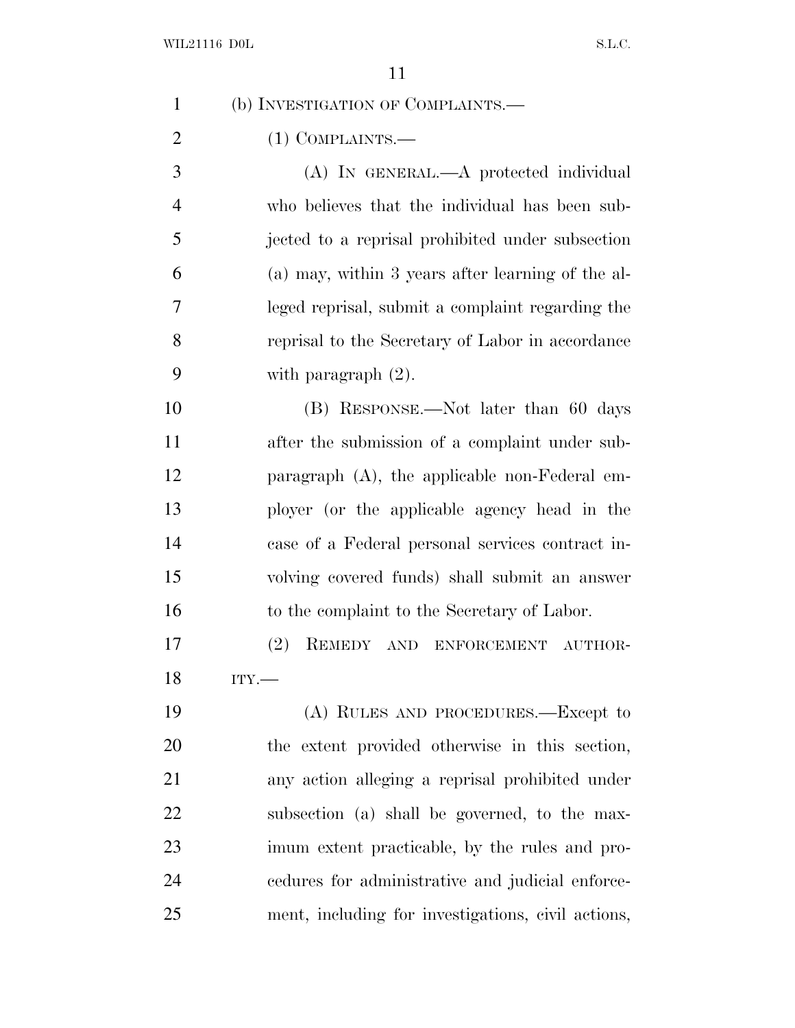| 1              | (b) INVESTIGATION OF COMPLAINTS.—                  |
|----------------|----------------------------------------------------|
| $\overline{2}$ | $(1)$ COMPLAINTS.—                                 |
| 3              | (A) IN GENERAL.—A protected individual             |
| $\overline{4}$ | who believes that the individual has been sub-     |
| 5              | jected to a reprisal prohibited under subsection   |
| 6              | (a) may, within 3 years after learning of the al-  |
| 7              | leged reprisal, submit a complaint regarding the   |
| 8              | reprisal to the Secretary of Labor in accordance   |
| 9              | with paragraph $(2)$ .                             |
| 10             | (B) RESPONSE.—Not later than 60 days               |
| 11             | after the submission of a complaint under sub-     |
| 12             | paragraph $(A)$ , the applicable non-Federal em-   |
| 13             | ployer (or the applicable agency head in the       |
| 14             | case of a Federal personal services contract in-   |
| 15             | volving covered funds) shall submit an answer      |
| 16             | to the complaint to the Secretary of Labor.        |
| 17             | (2)<br>REMEDY AND ENFORCEMENT AUTHOR-              |
| 18             | ITY.                                               |
| 19             | (A) RULES AND PROCEDURES.—Except to                |
| 20             | the extent provided otherwise in this section,     |
| 21             | any action alleging a reprisal prohibited under    |
| 22             | subsection (a) shall be governed, to the max-      |
| 23             | imum extent practicable, by the rules and pro-     |
| 24             | eedures for administrative and judicial enforce-   |
| 25             | ment, including for investigations, civil actions, |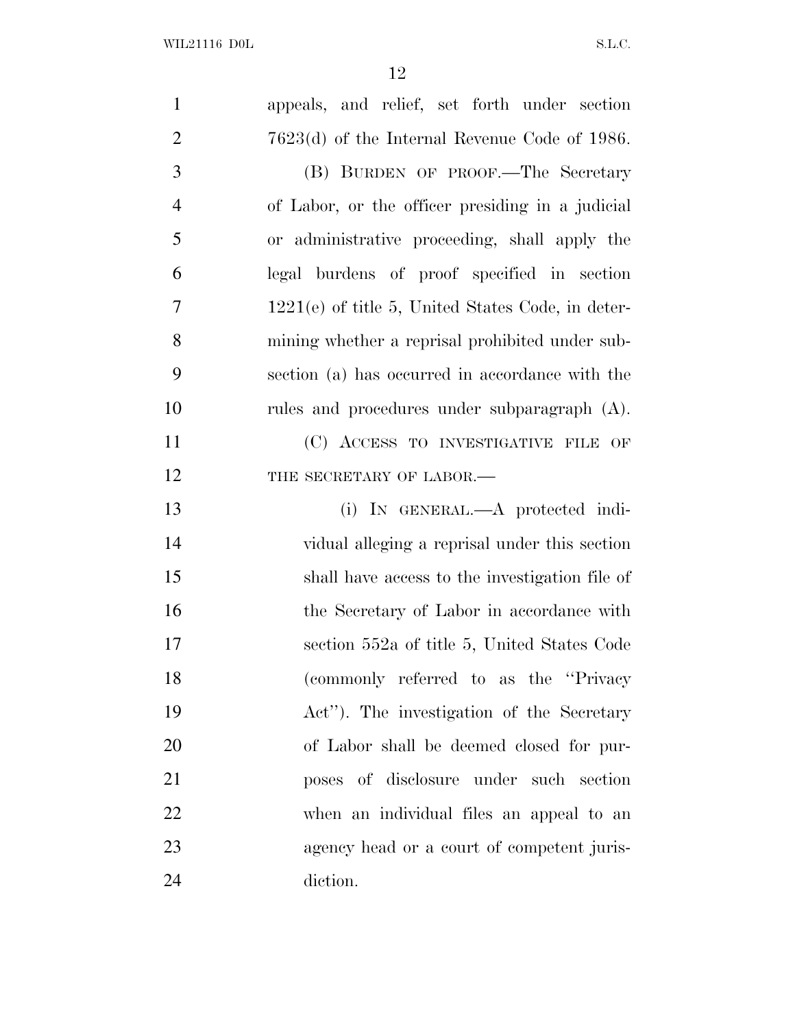| $\mathbf{1}$   | appeals, and relief, set forth under section        |
|----------------|-----------------------------------------------------|
| $\overline{2}$ | $7623(d)$ of the Internal Revenue Code of 1986.     |
| 3              | (B) BURDEN OF PROOF.—The Secretary                  |
| $\overline{4}$ | of Labor, or the officer presiding in a judicial    |
| 5              | or administrative proceeding, shall apply the       |
| 6              | legal burdens of proof specified in section         |
| $\overline{7}$ | $1221(e)$ of title 5, United States Code, in deter- |
| 8              | mining whether a reprisal prohibited under sub-     |
| 9              | section (a) has occurred in accordance with the     |
| 10             | rules and procedures under subparagraph (A).        |
| 11             | (C) ACCESS TO INVESTIGATIVE FILE OF                 |
| 12             | THE SECRETARY OF LABOR.-                            |
| 13             | (i) IN GENERAL.—A protected indi-                   |
| 14             | vidual alleging a reprisal under this section       |
| 15             | shall have access to the investigation file of      |
| 16             | the Secretary of Labor in accordance with           |
| 17             | section 552a of title 5, United States Code         |
| 18             | (commonly referred to as the "Privacy               |
| 19             | Act"). The investigation of the Secretary           |
| 20             | of Labor shall be deemed closed for pur-            |
| 21             | poses of disclosure under such section              |
| 22             | when an individual files an appeal to an            |
| 23             | agency head or a court of competent juris-          |
| 24             | diction.                                            |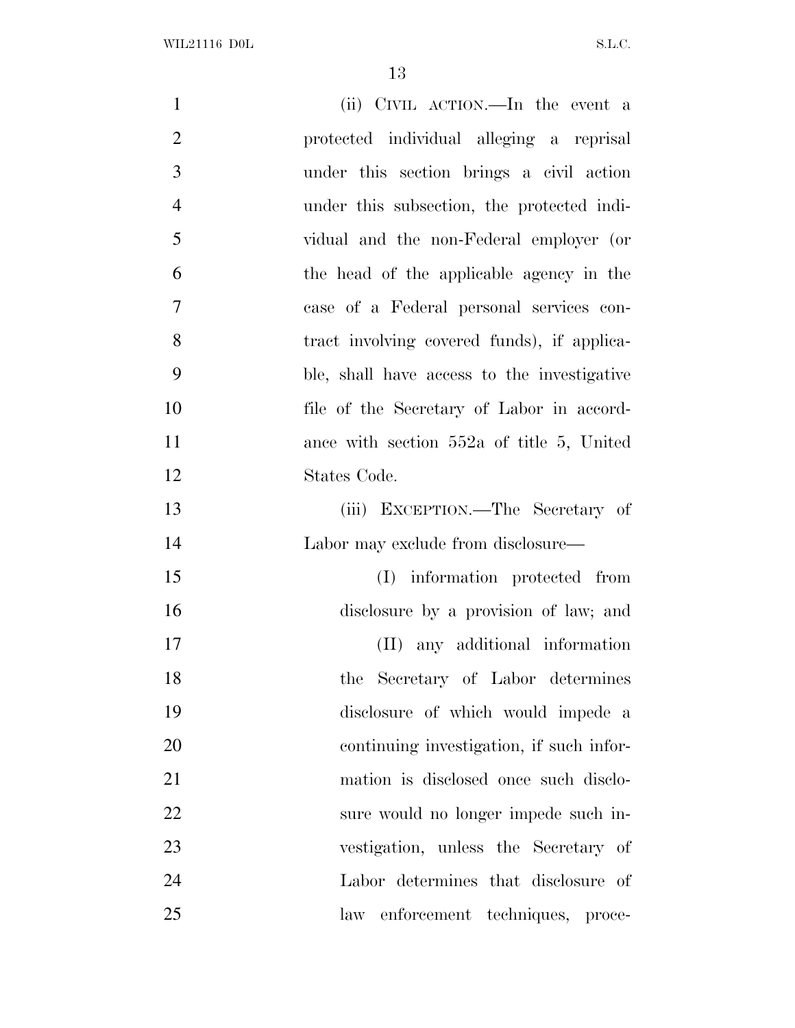| $\mathbf{1}$   | (ii) CIVIL ACTION.—In the event a           |
|----------------|---------------------------------------------|
| $\overline{2}$ | protected individual alleging a reprisal    |
| 3              | under this section brings a civil action    |
| $\overline{4}$ | under this subsection, the protected indi-  |
| 5              | vidual and the non-Federal employer (or     |
| 6              | the head of the applicable agency in the    |
| 7              | case of a Federal personal services con-    |
| 8              | tract involving covered funds), if applica- |
| 9              | ble, shall have access to the investigative |
| 10             | file of the Secretary of Labor in accord-   |
| 11             | ance with section $552a$ of title 5, United |
| 12             | States Code.                                |
| 13             | (iii) EXCEPTION.—The Secretary of           |
| 14             | Labor may exclude from disclosure—          |
| 15             | (I) information protected from              |
| 16             | disclosure by a provision of law; and       |
| 17             | (II) any additional information             |
| 18             | the Secretary of Labor determines           |
| 19             | disclosure of which would impede a          |
| 20             | continuing investigation, if such infor-    |
| 21             | mation is disclosed once such disclo-       |
| 22             | sure would no longer impede such in-        |
| 23             | vestigation, unless the Secretary of        |
| 24             | Labor determines that disclosure of         |
| 25             | law enforcement techniques, proce-          |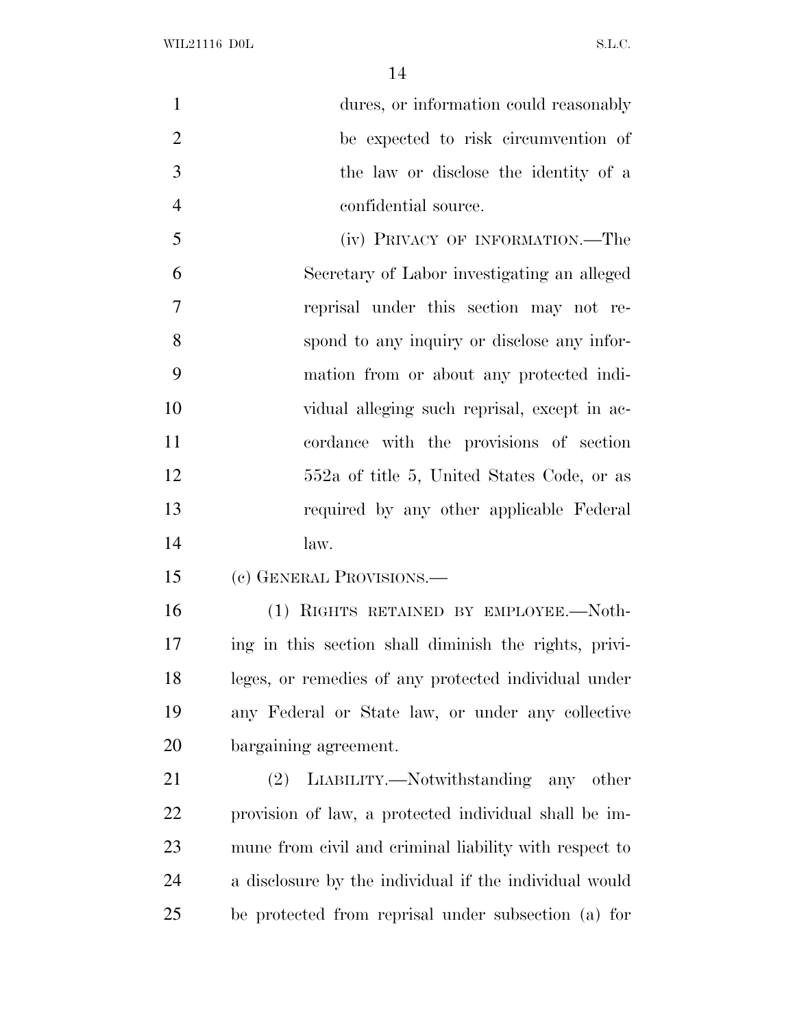| $\mathbf{1}$   | dures, or information could reasonably                 |
|----------------|--------------------------------------------------------|
| $\overline{2}$ | be expected to risk circumvention of                   |
| 3              | the law or disclose the identity of a                  |
| $\overline{4}$ | confidential source.                                   |
| 5              | (iv) PRIVACY OF INFORMATION.—The                       |
| 6              | Secretary of Labor investigating an alleged            |
| $\overline{7}$ | reprisal under this section may not re-                |
| 8              | spond to any inquiry or disclose any infor-            |
| 9              | mation from or about any protected indi-               |
| 10             | vidual alleging such reprisal, except in ac-           |
| 11             | cordance with the provisions of section                |
| 12             | 552a of title 5, United States Code, or as             |
| 13             | required by any other applicable Federal               |
| 14             | law.                                                   |
| 15             | (c) GENERAL PROVISIONS.—                               |
| 16             | (1) RIGHTS RETAINED BY EMPLOYEE.—Noth-                 |
| 17             | ing in this section shall diminish the rights, privi-  |
| 18             | leges, or remedies of any protected individual under   |
| 19             | any Federal or State law, or under any collective      |
| 20             | bargaining agreement.                                  |
| 21             | LIABILITY.—Notwithstanding any other<br>(2)            |
| 22             | provision of law, a protected individual shall be im-  |
| 23             | mune from civil and criminal liability with respect to |
| 24             | a disclosure by the individual if the individual would |
| 25             | be protected from reprisal under subsection (a) for    |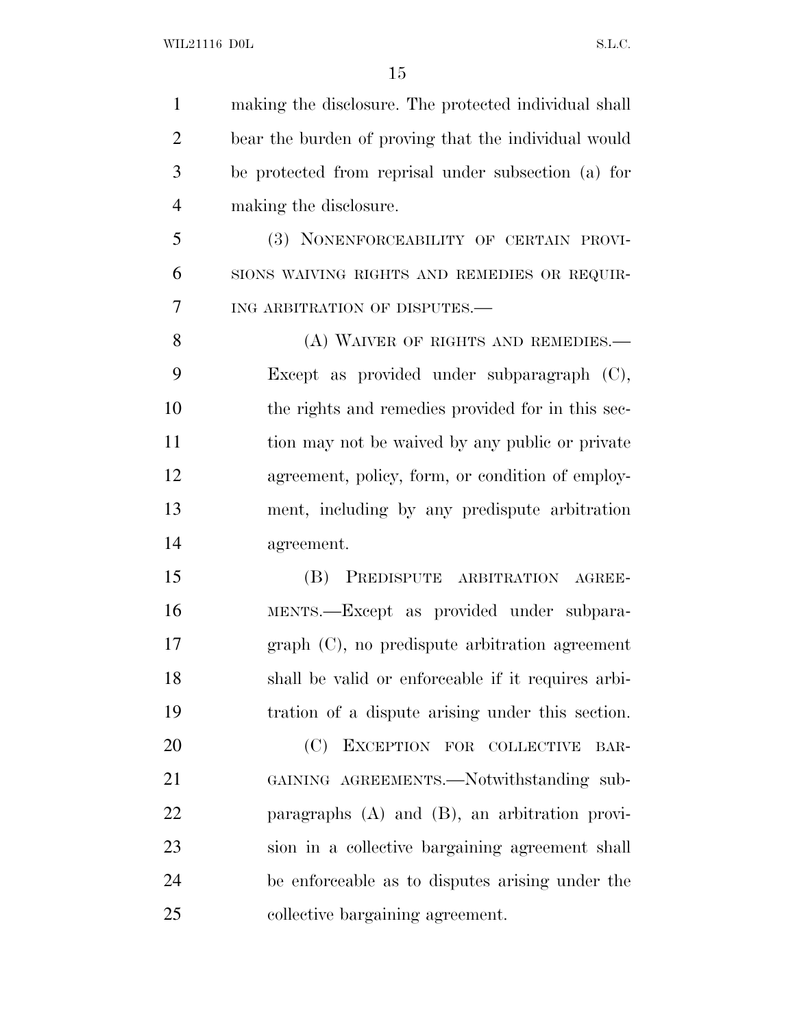making the disclosure. The protected individual shall bear the burden of proving that the individual would be protected from reprisal under subsection (a) for making the disclosure. (3) NONENFORCEABILITY OF CERTAIN PROVI- SIONS WAIVING RIGHTS AND REMEDIES OR REQUIR- ING ARBITRATION OF DISPUTES.— 8 (A) WAIVER OF RIGHTS AND REMEDIES. Except as provided under subparagraph (C), the rights and remedies provided for in this sec- tion may not be waived by any public or private agreement, policy, form, or condition of employ- ment, including by any predispute arbitration agreement. (B) PREDISPUTE ARBITRATION AGREE- MENTS.—Except as provided under subpara- graph (C), no predispute arbitration agreement shall be valid or enforceable if it requires arbi- tration of a dispute arising under this section. 20 (C) EXCEPTION FOR COLLECTIVE BAR-21 GAINING AGREEMENTS.—Notwithstanding sub- paragraphs (A) and (B), an arbitration provi- sion in a collective bargaining agreement shall be enforceable as to disputes arising under the collective bargaining agreement.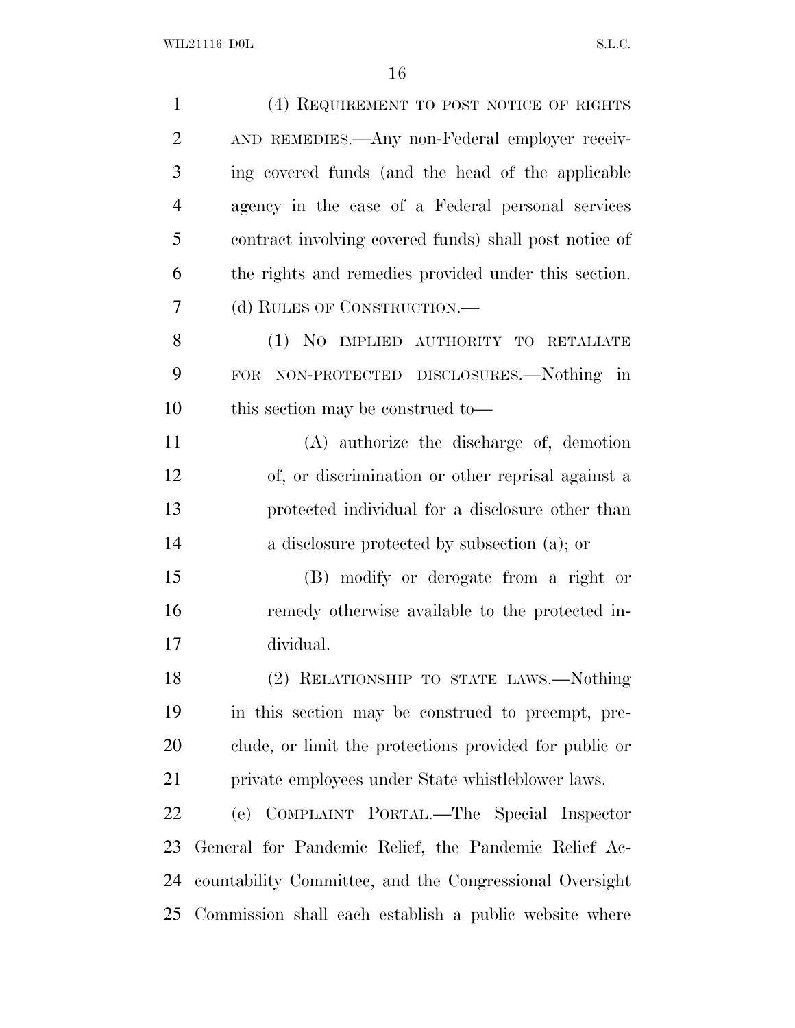| $\mathbf{1}$   | (4) REQUIREMENT TO POST NOTICE OF RIGHTS                  |
|----------------|-----------------------------------------------------------|
| $\overline{2}$ | AND REMEDIES.—Any non-Federal employer receiv-            |
| 3              | ing covered funds (and the head of the applicable         |
| $\overline{4}$ | agency in the case of a Federal personal services         |
| 5              | contract involving covered funds) shall post notice of    |
| 6              | the rights and remedies provided under this section.      |
| 7              | (d) RULES OF CONSTRUCTION.—                               |
| 8              | (1) NO IMPLIED AUTHORITY TO RETALIATE                     |
| 9              | NON-PROTECTED DISCLOSURES.—Nothing in<br><b>FOR</b>       |
| 10             | this section may be construed to-                         |
| 11             | (A) authorize the discharge of, demotion                  |
| 12             | of, or discrimination or other reprisal against a         |
| 13             | protected individual for a disclosure other than          |
| 14             | a disclosure protected by subsection (a); or              |
| 15             | (B) modify or derogate from a right or                    |
| 16             | remedy otherwise available to the protected in-           |
| 17             | dividual.                                                 |
| 18             | (2) RELATIONSHIP TO STATE LAWS.-Nothing                   |
| 19             | in this section may be construed to preempt, pre-         |
| 20             | clude, or limit the protections provided for public or    |
| 21             | private employees under State whistleblower laws.         |
| 22             | (e) COMPLAINT PORTAL.—The Special Inspector               |
| 23             | General for Pandemic Relief, the Pandemic Relief Ac-      |
| 24             | countability Committee, and the Congressional Oversight   |
|                | 25 Commission shall each establish a public website where |